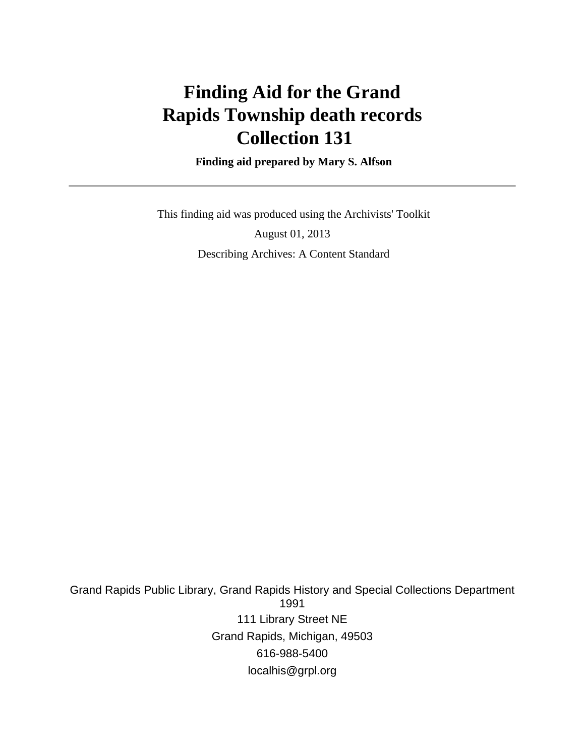# **Finding Aid for the Grand Rapids Township death records Collection 131**

 **Finding aid prepared by Mary S. Alfson**

 This finding aid was produced using the Archivists' Toolkit August 01, 2013 Describing Archives: A Content Standard

Grand Rapids Public Library, Grand Rapids History and Special Collections Department 1991 111 Library Street NE Grand Rapids, Michigan, 49503 616-988-5400 localhis@grpl.org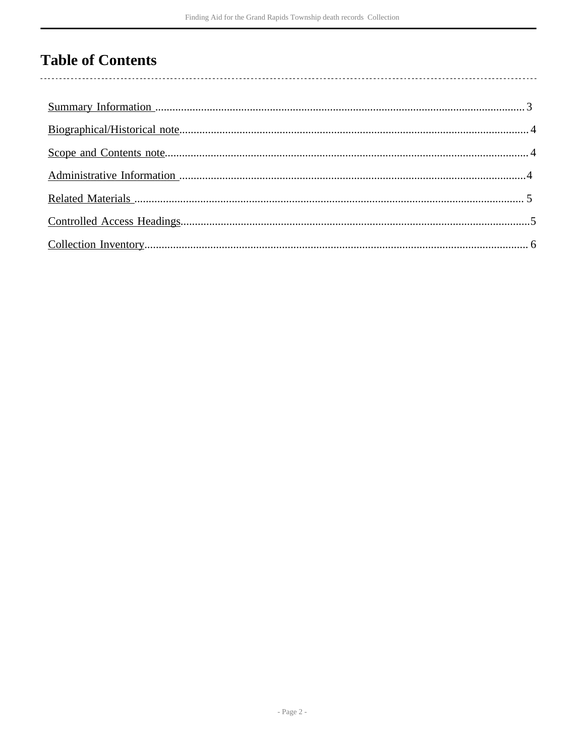## **Table of Contents**

 $\overline{\phantom{a}}$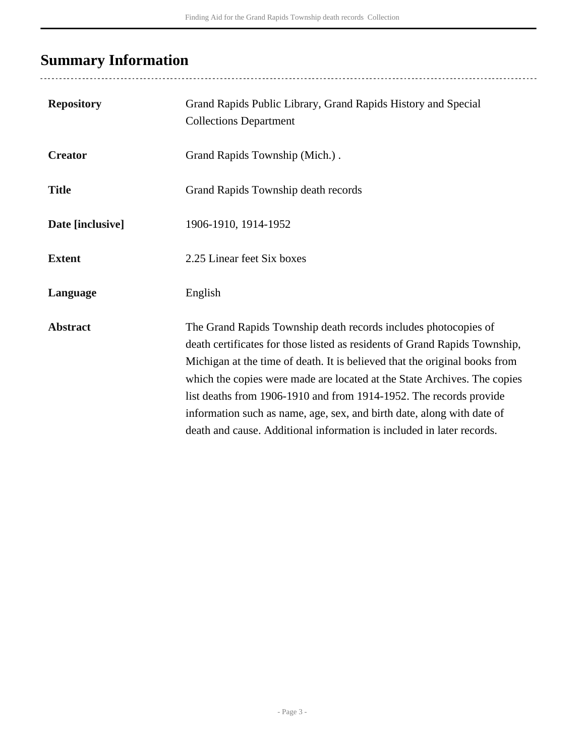# <span id="page-2-0"></span>**Summary Information**

| <b>Repository</b> | Grand Rapids Public Library, Grand Rapids History and Special<br><b>Collections Department</b>                                                                                                                                                                                                                                                                                                                                                                                                                                   |
|-------------------|----------------------------------------------------------------------------------------------------------------------------------------------------------------------------------------------------------------------------------------------------------------------------------------------------------------------------------------------------------------------------------------------------------------------------------------------------------------------------------------------------------------------------------|
| <b>Creator</b>    | Grand Rapids Township (Mich.).                                                                                                                                                                                                                                                                                                                                                                                                                                                                                                   |
| <b>Title</b>      | Grand Rapids Township death records                                                                                                                                                                                                                                                                                                                                                                                                                                                                                              |
| Date [inclusive]  | 1906-1910, 1914-1952                                                                                                                                                                                                                                                                                                                                                                                                                                                                                                             |
| <b>Extent</b>     | 2.25 Linear feet Six boxes                                                                                                                                                                                                                                                                                                                                                                                                                                                                                                       |
| Language          | English                                                                                                                                                                                                                                                                                                                                                                                                                                                                                                                          |
| <b>Abstract</b>   | The Grand Rapids Township death records includes photocopies of<br>death certificates for those listed as residents of Grand Rapids Township,<br>Michigan at the time of death. It is believed that the original books from<br>which the copies were made are located at the State Archives. The copies<br>list deaths from 1906-1910 and from 1914-1952. The records provide<br>information such as name, age, sex, and birth date, along with date of<br>death and cause. Additional information is included in later records. |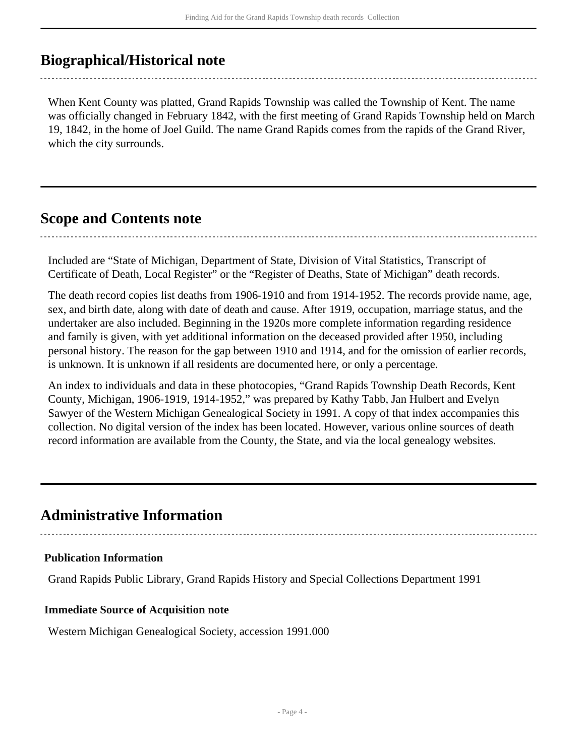### <span id="page-3-0"></span>**Biographical/Historical note**

When Kent County was platted, Grand Rapids Township was called the Township of Kent. The name was officially changed in February 1842, with the first meeting of Grand Rapids Township held on March 19, 1842, in the home of Joel Guild. The name Grand Rapids comes from the rapids of the Grand River, which the city surrounds.

### <span id="page-3-1"></span>**Scope and Contents note**

Included are "State of Michigan, Department of State, Division of Vital Statistics, Transcript of Certificate of Death, Local Register" or the "Register of Deaths, State of Michigan" death records.

The death record copies list deaths from 1906-1910 and from 1914-1952. The records provide name, age, sex, and birth date, along with date of death and cause. After 1919, occupation, marriage status, and the undertaker are also included. Beginning in the 1920s more complete information regarding residence and family is given, with yet additional information on the deceased provided after 1950, including personal history. The reason for the gap between 1910 and 1914, and for the omission of earlier records, is unknown. It is unknown if all residents are documented here, or only a percentage.

An index to individuals and data in these photocopies, "Grand Rapids Township Death Records, Kent County, Michigan, 1906-1919, 1914-1952," was prepared by Kathy Tabb, Jan Hulbert and Evelyn Sawyer of the Western Michigan Genealogical Society in 1991. A copy of that index accompanies this collection. No digital version of the index has been located. However, various online sources of death record information are available from the County, the State, and via the local genealogy websites.

### <span id="page-3-2"></span>**Administrative Information**

### **Publication Information**

Grand Rapids Public Library, Grand Rapids History and Special Collections Department 1991

#### **Immediate Source of Acquisition note**

Western Michigan Genealogical Society, accession 1991.000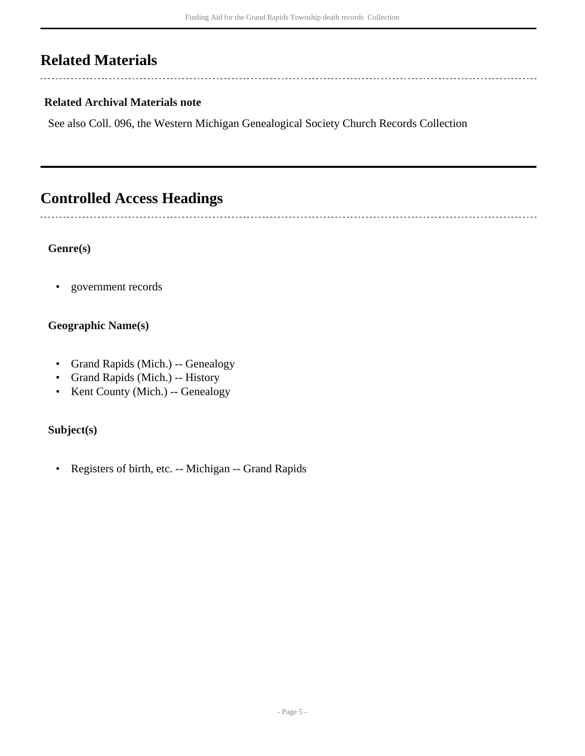## <span id="page-4-0"></span>**Related Materials**

 $\overline{a}$ 

 $\overline{a}$ 

### **Related Archival Materials note**

See also Coll. 096, the Western Michigan Genealogical Society Church Records Collection

--------------------------------

## <span id="page-4-1"></span>**Controlled Access Headings**

#### **Genre(s)**

• government records

### **Geographic Name(s)**

- Grand Rapids (Mich.) -- Genealogy
- Grand Rapids (Mich.) -- History
- Kent County (Mich.) -- Genealogy

### **Subject(s)**

• Registers of birth, etc. -- Michigan -- Grand Rapids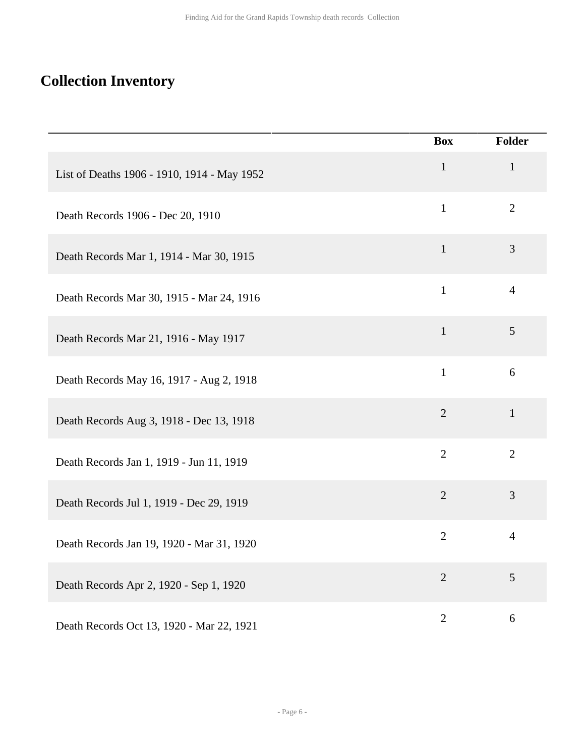## <span id="page-5-0"></span>**Collection Inventory**

|                                             | <b>Box</b>     | <b>Folder</b>  |
|---------------------------------------------|----------------|----------------|
| List of Deaths 1906 - 1910, 1914 - May 1952 | $\mathbf{1}$   | $\mathbf{1}$   |
| Death Records 1906 - Dec 20, 1910           | $\mathbf{1}$   | $\overline{2}$ |
| Death Records Mar 1, 1914 - Mar 30, 1915    | $\mathbf{1}$   | 3              |
| Death Records Mar 30, 1915 - Mar 24, 1916   | $\mathbf{1}$   | $\overline{4}$ |
| Death Records Mar 21, 1916 - May 1917       | $\mathbf{1}$   | $\mathfrak{S}$ |
| Death Records May 16, 1917 - Aug 2, 1918    | $\mathbf{1}$   | 6              |
| Death Records Aug 3, 1918 - Dec 13, 1918    | $\overline{2}$ | $\mathbf{1}$   |
| Death Records Jan 1, 1919 - Jun 11, 1919    | $\overline{2}$ | $\overline{2}$ |
| Death Records Jul 1, 1919 - Dec 29, 1919    | $\overline{2}$ | 3              |
| Death Records Jan 19, 1920 - Mar 31, 1920   | $\overline{2}$ | $\overline{4}$ |
| Death Records Apr 2, 1920 - Sep 1, 1920     | $\overline{2}$ | 5              |
| Death Records Oct 13, 1920 - Mar 22, 1921   | $\overline{2}$ | 6              |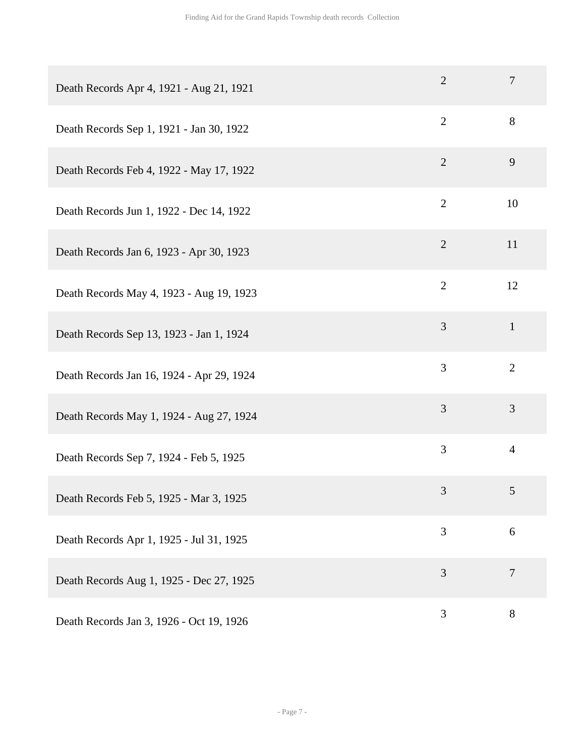| Death Records Apr 4, 1921 - Aug 21, 1921  | $\overline{2}$ | $\overline{7}$ |
|-------------------------------------------|----------------|----------------|
| Death Records Sep 1, 1921 - Jan 30, 1922  | $\mathbf{2}$   | 8              |
| Death Records Feb 4, 1922 - May 17, 1922  | $\overline{2}$ | 9              |
| Death Records Jun 1, 1922 - Dec 14, 1922  | $\overline{2}$ | 10             |
| Death Records Jan 6, 1923 - Apr 30, 1923  | $\overline{2}$ | 11             |
| Death Records May 4, 1923 - Aug 19, 1923  | $\overline{2}$ | 12             |
| Death Records Sep 13, 1923 - Jan 1, 1924  | 3              | $\mathbf{1}$   |
| Death Records Jan 16, 1924 - Apr 29, 1924 | 3              | $\overline{2}$ |
| Death Records May 1, 1924 - Aug 27, 1924  | $\overline{3}$ | $\overline{3}$ |
| Death Records Sep 7, 1924 - Feb 5, 1925   | 3              | $\overline{4}$ |
| Death Records Feb 5, 1925 - Mar 3, 1925   | $\mathfrak{Z}$ | 5              |
| Death Records Apr 1, 1925 - Jul 31, 1925  | 3              | 6              |
| Death Records Aug 1, 1925 - Dec 27, 1925  | 3              | $\overline{7}$ |
| Death Records Jan 3, 1926 - Oct 19, 1926  | 3              | 8              |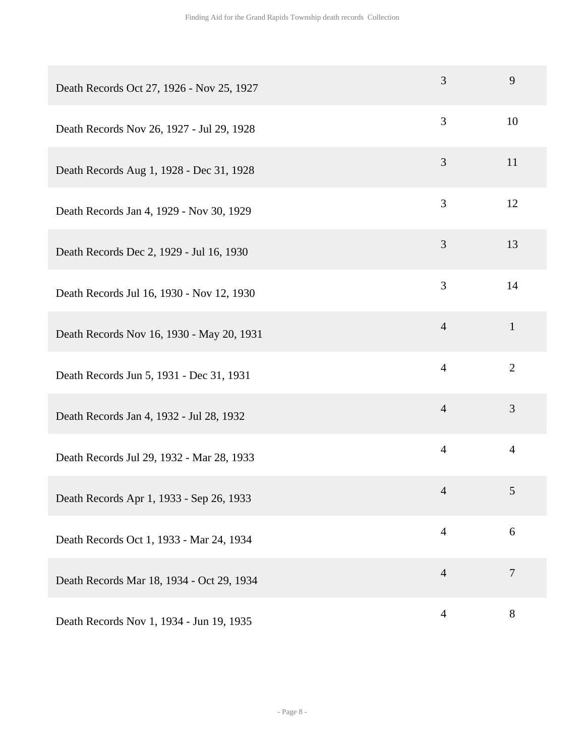| Death Records Oct 27, 1926 - Nov 25, 1927 | 3              | 9              |
|-------------------------------------------|----------------|----------------|
| Death Records Nov 26, 1927 - Jul 29, 1928 | 3              | 10             |
| Death Records Aug 1, 1928 - Dec 31, 1928  | 3              | 11             |
| Death Records Jan 4, 1929 - Nov 30, 1929  | 3              | 12             |
| Death Records Dec 2, 1929 - Jul 16, 1930  | 3              | 13             |
| Death Records Jul 16, 1930 - Nov 12, 1930 | 3              | 14             |
| Death Records Nov 16, 1930 - May 20, 1931 | $\overline{4}$ | $\mathbf{1}$   |
| Death Records Jun 5, 1931 - Dec 31, 1931  | $\overline{4}$ | $\overline{2}$ |
| Death Records Jan 4, 1932 - Jul 28, 1932  | $\overline{4}$ | 3              |
| Death Records Jul 29, 1932 - Mar 28, 1933 | $\overline{4}$ | $\overline{4}$ |
| Death Records Apr 1, 1933 - Sep 26, 1933  | $\overline{4}$ | $\mathfrak{S}$ |
| Death Records Oct 1, 1933 - Mar 24, 1934  | $\overline{4}$ | 6              |
| Death Records Mar 18, 1934 - Oct 29, 1934 | $\overline{4}$ | $\tau$         |
| Death Records Nov 1, 1934 - Jun 19, 1935  | $\overline{4}$ | 8              |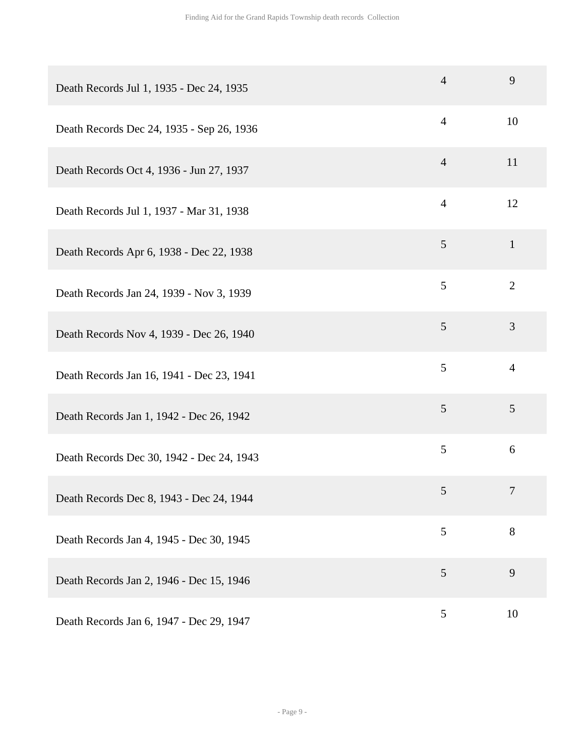| Death Records Jul 1, 1935 - Dec 24, 1935  | $\overline{4}$ | 9              |
|-------------------------------------------|----------------|----------------|
| Death Records Dec 24, 1935 - Sep 26, 1936 | $\overline{4}$ | 10             |
| Death Records Oct 4, 1936 - Jun 27, 1937  | $\overline{4}$ | 11             |
| Death Records Jul 1, 1937 - Mar 31, 1938  | $\overline{4}$ | 12             |
| Death Records Apr 6, 1938 - Dec 22, 1938  | 5              | $\mathbf{1}$   |
| Death Records Jan 24, 1939 - Nov 3, 1939  | 5              | $\overline{2}$ |
| Death Records Nov 4, 1939 - Dec 26, 1940  | $\mathfrak{S}$ | 3              |
| Death Records Jan 16, 1941 - Dec 23, 1941 | 5              | $\overline{4}$ |
| Death Records Jan 1, 1942 - Dec 26, 1942  | 5              | 5              |
| Death Records Dec 30, 1942 - Dec 24, 1943 | 5              | 6              |
| Death Records Dec 8, 1943 - Dec 24, 1944  | 5              | $\tau$         |
| Death Records Jan 4, 1945 - Dec 30, 1945  | 5              | 8              |
| Death Records Jan 2, 1946 - Dec 15, 1946  | 5              | 9              |
| Death Records Jan 6, 1947 - Dec 29, 1947  | 5              | 10             |